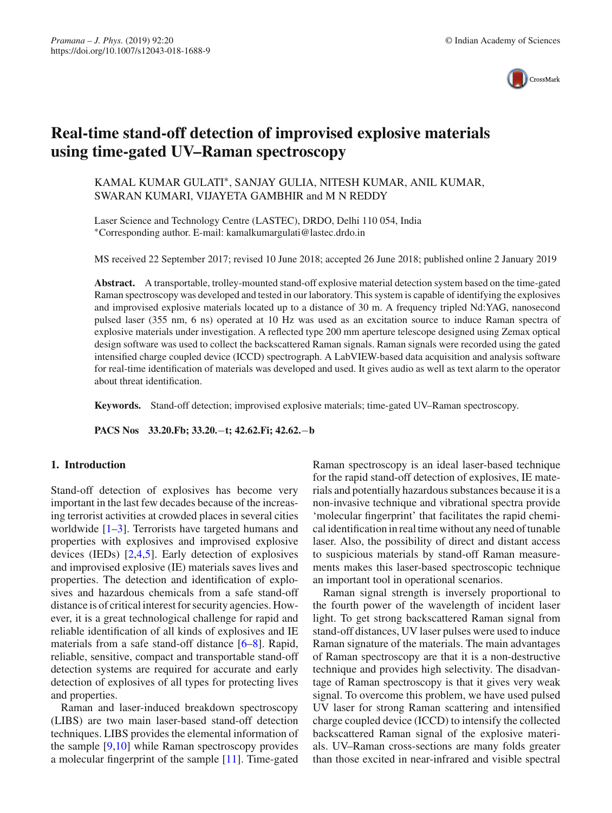

# **Real-time stand-off detection of improvised explosive materials using time-gated UV–Raman spectroscopy**

KAMAL KUMAR GULATI∗, SANJAY GULIA, NITESH KUMAR, ANIL KUMAR, SWARAN KUMARI, VIJAYETA GAMBHIR and M N REDDY

Laser Science and Technology Centre (LASTEC), DRDO, Delhi 110 054, India ∗Corresponding author. E-mail: kamalkumargulati@lastec.drdo.in

MS received 22 September 2017; revised 10 June 2018; accepted 26 June 2018; published online 2 January 2019

**Abstract.** A transportable, trolley-mounted stand-off explosive material detection system based on the time-gated Raman spectroscopy was developed and tested in our laboratory. This system is capable of identifying the explosives and improvised explosive materials located up to a distance of 30 m. A frequency tripled Nd:YAG, nanosecond pulsed laser (355 nm, 6 ns) operated at 10 Hz was used as an excitation source to induce Raman spectra of explosive materials under investigation. A reflected type 200 mm aperture telescope designed using Zemax optical design software was used to collect the backscattered Raman signals. Raman signals were recorded using the gated intensified charge coupled device (ICCD) spectrograph. A LabVIEW-based data acquisition and analysis software for real-time identification of materials was developed and used. It gives audio as well as text alarm to the operator about threat identification.

**Keywords.** Stand-off detection; improvised explosive materials; time-gated UV–Raman spectroscopy.

**PACS Nos 33.20.Fb; 33.20.**−**t; 42.62.Fi; 42.62.**−**b**

## **1. Introduction**

Stand-off detection of explosives has become very important in the last few decades because of the increasing terrorist activities at crowded places in several cities worldwide  $[1-3]$  $[1-3]$ . Terrorists have targeted humans and properties with explosives and improvised explosive devices (IEDs) [\[2](#page-4-2)[,4](#page-4-3)[,5\]](#page-4-4). Early detection of explosives and improvised explosive (IE) materials saves lives and properties. The detection and identification of explosives and hazardous chemicals from a safe stand-off distance is of critical interest for security agencies. However, it is a great technological challenge for rapid and reliable identification of all kinds of explosives and IE materials from a safe stand-off distance [\[6](#page-4-5)[–8](#page-4-6)]. Rapid, reliable, sensitive, compact and transportable stand-off detection systems are required for accurate and early detection of explosives of all types for protecting lives and properties.

Raman and laser-induced breakdown spectroscopy (LIBS) are two main laser-based stand-off detection techniques. LIBS provides the elemental information of the sample [\[9](#page-4-7)[,10](#page-4-8)] while Raman spectroscopy provides a molecular fingerprint of the sample [\[11\]](#page-4-9). Time-gated Raman spectroscopy is an ideal laser-based technique for the rapid stand-off detection of explosives, IE materials and potentially hazardous substances because it is a non-invasive technique and vibrational spectra provide 'molecular fingerprint' that facilitates the rapid chemical identification in real time without any need of tunable laser. Also, the possibility of direct and distant access to suspicious materials by stand-off Raman measurements makes this laser-based spectroscopic technique an important tool in operational scenarios.

Raman signal strength is inversely proportional to the fourth power of the wavelength of incident laser light. To get strong backscattered Raman signal from stand-off distances, UV laser pulses were used to induce Raman signature of the materials. The main advantages of Raman spectroscopy are that it is a non-destructive technique and provides high selectivity. The disadvantage of Raman spectroscopy is that it gives very weak signal. To overcome this problem, we have used pulsed UV laser for strong Raman scattering and intensified charge coupled device (ICCD) to intensify the collected backscattered Raman signal of the explosive materials. UV–Raman cross-sections are many folds greater than those excited in near-infrared and visible spectral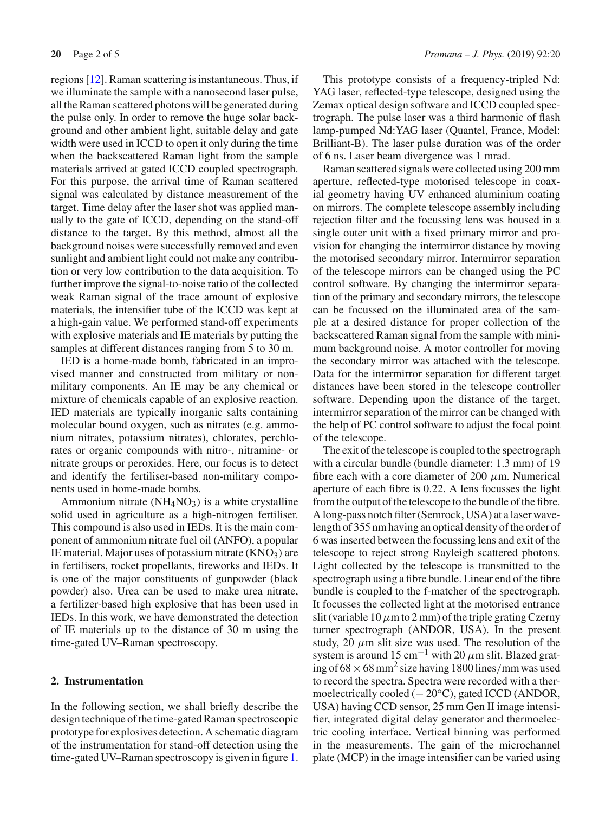regions [\[12](#page-4-10)]. Raman scattering is instantaneous. Thus, if we illuminate the sample with a nanosecond laser pulse, all the Raman scattered photons will be generated during the pulse only. In order to remove the huge solar background and other ambient light, suitable delay and gate width were used in ICCD to open it only during the time when the backscattered Raman light from the sample materials arrived at gated ICCD coupled spectrograph. For this purpose, the arrival time of Raman scattered signal was calculated by distance measurement of the target. Time delay after the laser shot was applied manually to the gate of ICCD, depending on the stand-off distance to the target. By this method, almost all the background noises were successfully removed and even sunlight and ambient light could not make any contribution or very low contribution to the data acquisition. To further improve the signal-to-noise ratio of the collected weak Raman signal of the trace amount of explosive materials, the intensifier tube of the ICCD was kept at a high-gain value. We performed stand-off experiments with explosive materials and IE materials by putting the samples at different distances ranging from 5 to 30 m.

IED is a home-made bomb, fabricated in an improvised manner and constructed from military or nonmilitary components. An IE may be any chemical or mixture of chemicals capable of an explosive reaction. IED materials are typically inorganic salts containing molecular bound oxygen, such as nitrates (e.g. ammonium nitrates, potassium nitrates), chlorates, perchlorates or organic compounds with nitro-, nitramine- or nitrate groups or peroxides. Here, our focus is to detect and identify the fertiliser-based non-military components used in home-made bombs.

Ammonium nitrate (NH<sub>4</sub>NO<sub>3</sub>) is a white crystalline solid used in agriculture as a high-nitrogen fertiliser. This compound is also used in IEDs. It is the main component of ammonium nitrate fuel oil (ANFO), a popular IE material. Major uses of potassium nitrate (KNO3*)* are in fertilisers, rocket propellants, fireworks and IEDs. It is one of the major constituents of gunpowder (black powder) also. Urea can be used to make urea nitrate, a fertilizer-based high explosive that has been used in IEDs. In this work, we have demonstrated the detection of IE materials up to the distance of 30 m using the time-gated UV–Raman spectroscopy.

#### **2. Instrumentation**

In the following section, we shall briefly describe the design technique of the time-gated Raman spectroscopic prototype for explosives detection. A schematic diagram of the instrumentation for stand-off detection using the time-gated UV–Raman spectroscopy is given in figure [1.](#page-2-0)

This prototype consists of a frequency-tripled Nd: YAG laser, reflected-type telescope, designed using the Zemax optical design software and ICCD coupled spectrograph. The pulse laser was a third harmonic of flash lamp-pumped Nd:YAG laser (Quantel, France, Model: Brilliant-B). The laser pulse duration was of the order of 6 ns. Laser beam divergence was 1 mrad.

Raman scattered signals were collected using 200 mm aperture, reflected-type motorised telescope in coaxial geometry having UV enhanced aluminium coating on mirrors. The complete telescope assembly including rejection filter and the focussing lens was housed in a single outer unit with a fixed primary mirror and provision for changing the intermirror distance by moving the motorised secondary mirror. Intermirror separation of the telescope mirrors can be changed using the PC control software. By changing the intermirror separation of the primary and secondary mirrors, the telescope can be focussed on the illuminated area of the sample at a desired distance for proper collection of the backscattered Raman signal from the sample with minimum background noise. A motor controller for moving the secondary mirror was attached with the telescope. Data for the intermirror separation for different target distances have been stored in the telescope controller software. Depending upon the distance of the target, intermirror separation of the mirror can be changed with the help of PC control software to adjust the focal point of the telescope.

The exit of the telescope is coupled to the spectrograph with a circular bundle (bundle diameter: 1.3 mm) of 19 fibre each with a core diameter of 200  $\mu$ m. Numerical aperture of each fibre is 0.22. A lens focusses the light from the output of the telescope to the bundle of the fibre. A long-pass notch filter (Semrock, USA) at a laser wavelength of 355 nm having an optical density of the order of 6 was inserted between the focussing lens and exit of the telescope to reject strong Rayleigh scattered photons. Light collected by the telescope is transmitted to the spectrograph using a fibre bundle. Linear end of the fibre bundle is coupled to the f-matcher of the spectrograph. It focusses the collected light at the motorised entrance slit (variable 10  $\mu$ m to 2 mm) of the triple grating Czerny turner spectrograph (ANDOR, USA). In the present study, 20  $\mu$ m slit size was used. The resolution of the system is around 15 cm−<sup>1</sup> with 20 *µ*m slit. Blazed grating of  $68 \times 68$  mm<sup>2</sup> size having 1800 lines/mm was used to record the spectra. Spectra were recorded with a thermoelectrically cooled (− 20◦C), gated ICCD (ANDOR, USA) having CCD sensor, 25 mm Gen II image intensifier, integrated digital delay generator and thermoelectric cooling interface. Vertical binning was performed in the measurements. The gain of the microchannel plate (MCP) in the image intensifier can be varied using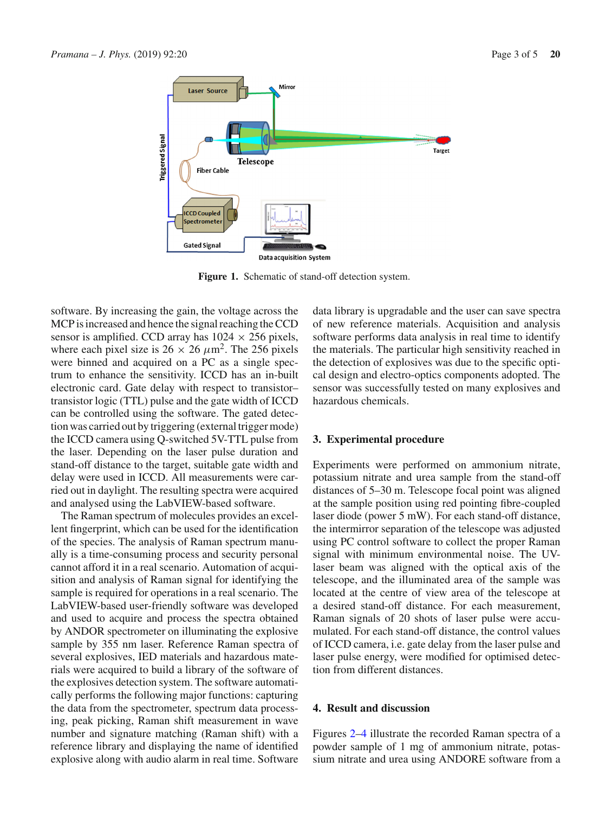

<span id="page-2-0"></span>**Figure 1.** Schematic of stand-off detection system.

software. By increasing the gain, the voltage across the MCP is increased and hence the signal reaching the CCD sensor is amplified. CCD array has  $1024 \times 256$  pixels, where each pixel size is  $26 \times 26 \ \mu \text{m}^2$ . The 256 pixels were binned and acquired on a PC as a single spectrum to enhance the sensitivity. ICCD has an in-built electronic card. Gate delay with respect to transistor– transistor logic (TTL) pulse and the gate width of ICCD can be controlled using the software. The gated detection was carried out by triggering (external trigger mode) the ICCD camera using Q-switched 5V-TTL pulse from the laser. Depending on the laser pulse duration and stand-off distance to the target, suitable gate width and delay were used in ICCD. All measurements were carried out in daylight. The resulting spectra were acquired and analysed using the LabVIEW-based software.

The Raman spectrum of molecules provides an excellent fingerprint, which can be used for the identification of the species. The analysis of Raman spectrum manually is a time-consuming process and security personal cannot afford it in a real scenario. Automation of acquisition and analysis of Raman signal for identifying the sample is required for operations in a real scenario. The LabVIEW-based user-friendly software was developed and used to acquire and process the spectra obtained by ANDOR spectrometer on illuminating the explosive sample by 355 nm laser. Reference Raman spectra of several explosives, IED materials and hazardous materials were acquired to build a library of the software of the explosives detection system. The software automatically performs the following major functions: capturing the data from the spectrometer, spectrum data processing, peak picking, Raman shift measurement in wave number and signature matching (Raman shift) with a reference library and displaying the name of identified explosive along with audio alarm in real time. Software data library is upgradable and the user can save spectra of new reference materials. Acquisition and analysis software performs data analysis in real time to identify the materials. The particular high sensitivity reached in the detection of explosives was due to the specific optical design and electro-optics components adopted. The sensor was successfully tested on many explosives and hazardous chemicals.

#### **3. Experimental procedure**

Experiments were performed on ammonium nitrate, potassium nitrate and urea sample from the stand-off distances of 5–30 m. Telescope focal point was aligned at the sample position using red pointing fibre-coupled laser diode (power 5 mW). For each stand-off distance, the intermirror separation of the telescope was adjusted using PC control software to collect the proper Raman signal with minimum environmental noise. The UVlaser beam was aligned with the optical axis of the telescope, and the illuminated area of the sample was located at the centre of view area of the telescope at a desired stand-off distance. For each measurement, Raman signals of 20 shots of laser pulse were accumulated. For each stand-off distance, the control values of ICCD camera, i.e. gate delay from the laser pulse and laser pulse energy, were modified for optimised detection from different distances.

### **4. Result and discussion**

Figures [2–](#page-3-0)[4](#page-3-1) illustrate the recorded Raman spectra of a powder sample of 1 mg of ammonium nitrate, potassium nitrate and urea using ANDORE software from a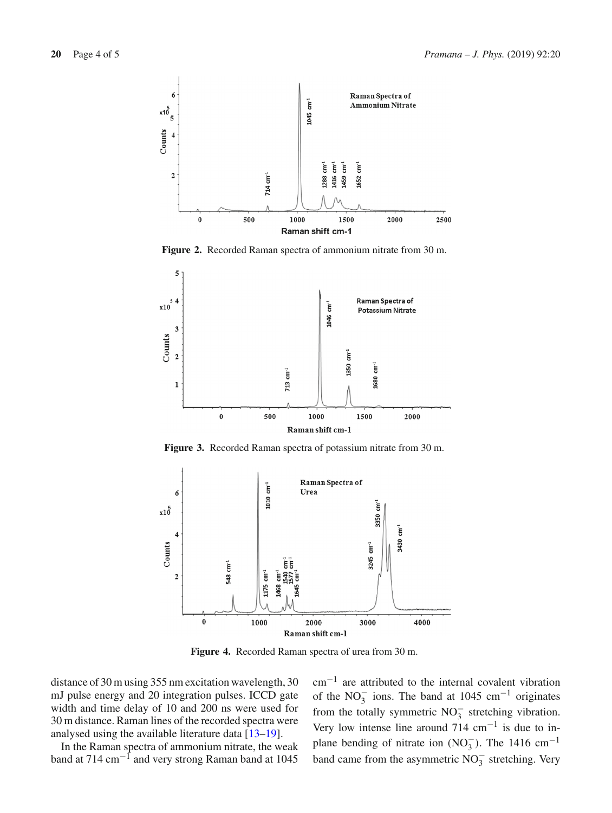

<span id="page-3-0"></span>**Figure 2.** Recorded Raman spectra of ammonium nitrate from 30 m.



**Figure 3.** Recorded Raman spectra of potassium nitrate from 30 m.



<span id="page-3-1"></span>**Figure 4.** Recorded Raman spectra of urea from 30 m.

distance of 30 m using 355 nm excitation wavelength, 30 mJ pulse energy and 20 integration pulses. ICCD gate width and time delay of 10 and 200 ns were used for 30 m distance. Raman lines of the recorded spectra were analysed using the available literature data [\[13](#page-4-11)[–19](#page-4-12)].

In the Raman spectra of ammonium nitrate, the weak band at 714 cm−<sup>1</sup> and very strong Raman band at 1045

cm−<sup>1</sup> are attributed to the internal covalent vibration of the  $NO_3^-$  ions. The band at 1045 cm<sup>-1</sup> originates from the totally symmetric  $NO_3^-$  stretching vibration. Very low intense line around 714 cm−<sup>1</sup> is due to inplane bending of nitrate ion  $(NO<sub>3</sub><sup>-</sup>)$ . The 1416 cm<sup>-1</sup> band came from the asymmetric  $NO_3^-$  stretching. Very